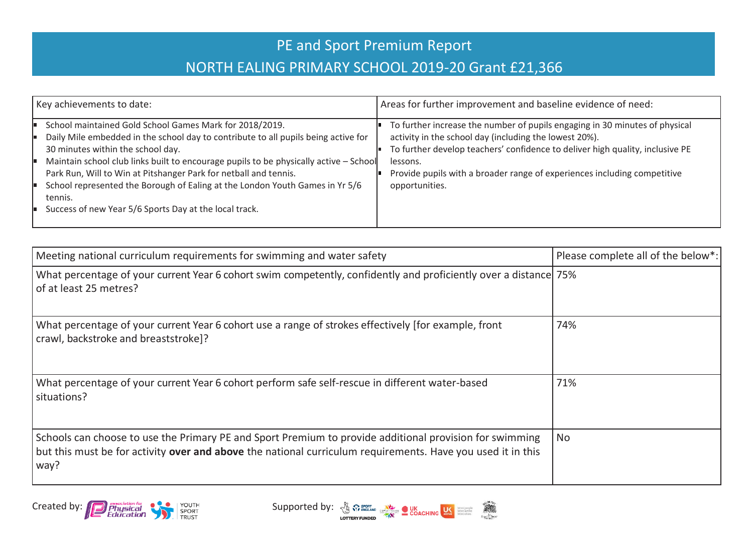## PE and Sport Premium Report NORTH EALING PRIMARY SCHOOL 2019-20 Grant £21,366

| Key achievements to date:                                                                                                                                                                                                                                                                                                                                                                                                                                                                            | Areas for further improvement and baseline evidence of need:                                                                                                                                                                                                                                                                     |
|------------------------------------------------------------------------------------------------------------------------------------------------------------------------------------------------------------------------------------------------------------------------------------------------------------------------------------------------------------------------------------------------------------------------------------------------------------------------------------------------------|----------------------------------------------------------------------------------------------------------------------------------------------------------------------------------------------------------------------------------------------------------------------------------------------------------------------------------|
| School maintained Gold School Games Mark for 2018/2019.<br>Daily Mile embedded in the school day to contribute to all pupils being active for<br>30 minutes within the school day.<br>Maintain school club links built to encourage pupils to be physically active - School<br>Park Run, Will to Win at Pitshanger Park for netball and tennis.<br>School represented the Borough of Ealing at the London Youth Games in Yr 5/6<br>tennis.<br>Success of new Year 5/6 Sports Day at the local track. | To further increase the number of pupils engaging in 30 minutes of physical<br>activity in the school day (including the lowest 20%).<br>To further develop teachers' confidence to deliver high quality, inclusive PE<br>lessons.<br>Provide pupils with a broader range of experiences including competitive<br>opportunities. |

| Meeting national curriculum requirements for swimming and water safety                                                                                                                                                                  | Please complete all of the below*: |
|-----------------------------------------------------------------------------------------------------------------------------------------------------------------------------------------------------------------------------------------|------------------------------------|
| What percentage of your current Year 6 cohort swim competently, confidently and proficiently over a distance 75%<br>of at least 25 metres?                                                                                              |                                    |
| What percentage of your current Year 6 cohort use a range of strokes effectively [for example, front<br>crawl, backstroke and breaststroke]?                                                                                            | 74%                                |
| What percentage of your current Year 6 cohort perform safe self-rescue in different water-based<br>situations?                                                                                                                          | 71%                                |
| Schools can choose to use the Primary PE and Sport Premium to provide additional provision for swimming<br>but this must be for activity over and above the national curriculum requirements. Have you used it in this<br>$\wedge$ way? | <b>No</b>                          |



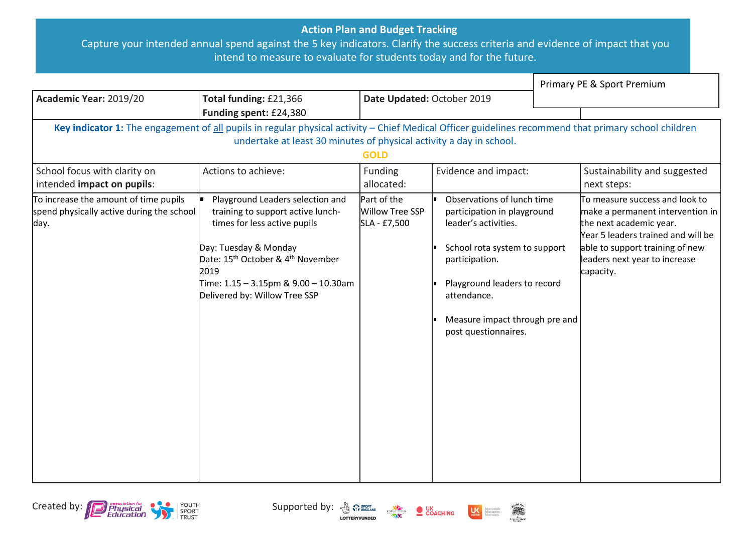## **Action Plan and Budget Tracking**

Capture your intended annual spend against the 5 key indicators. Clarify the success criteria and evidence of impact that you intend to measure to evaluate for students today and for the future.

|                                                                                                                                                                                                                                            |                                                                                                                                                                                                                                                                              |                                                |                                                                                                                                                                                                                                               |  | Primary PE & Sport Premium                                                                                                                                                                                           |  |
|--------------------------------------------------------------------------------------------------------------------------------------------------------------------------------------------------------------------------------------------|------------------------------------------------------------------------------------------------------------------------------------------------------------------------------------------------------------------------------------------------------------------------------|------------------------------------------------|-----------------------------------------------------------------------------------------------------------------------------------------------------------------------------------------------------------------------------------------------|--|----------------------------------------------------------------------------------------------------------------------------------------------------------------------------------------------------------------------|--|
| Academic Year: 2019/20                                                                                                                                                                                                                     | Total funding: £21,366                                                                                                                                                                                                                                                       | Date Updated: October 2019                     |                                                                                                                                                                                                                                               |  |                                                                                                                                                                                                                      |  |
|                                                                                                                                                                                                                                            | Funding spent: £24,380                                                                                                                                                                                                                                                       |                                                |                                                                                                                                                                                                                                               |  |                                                                                                                                                                                                                      |  |
| Key indicator 1: The engagement of all pupils in regular physical activity - Chief Medical Officer guidelines recommend that primary school children<br>undertake at least 30 minutes of physical activity a day in school.<br><b>GOLD</b> |                                                                                                                                                                                                                                                                              |                                                |                                                                                                                                                                                                                                               |  |                                                                                                                                                                                                                      |  |
| School focus with clarity on<br>intended impact on pupils:                                                                                                                                                                                 | Actions to achieve:                                                                                                                                                                                                                                                          | Funding<br>allocated:                          | Evidence and impact:                                                                                                                                                                                                                          |  | Sustainability and suggested<br>next steps:                                                                                                                                                                          |  |
| To increase the amount of time pupils<br>spend physically active during the school<br>day.                                                                                                                                                 | Playground Leaders selection and<br>training to support active lunch-<br>times for less active pupils<br>Day: Tuesday & Monday<br>Date: 15 <sup>th</sup> October & 4 <sup>th</sup> November<br>2019<br>Time: 1.15 - 3.15pm & 9.00 - 10.30am<br>Delivered by: Willow Tree SSP | Part of the<br>Willow Tree SSP<br>SLA - £7,500 | Observations of lunch time<br>participation in playground<br>leader's activities.<br>School rota system to support<br>participation.<br>Playground leaders to record<br>attendance.<br>Measure impact through pre and<br>post questionnaires. |  | To measure success and look to<br>make a permanent intervention in<br>the next academic year.<br>Year 5 leaders trained and will be<br>able to support training of new<br>leaders next year to increase<br>capacity. |  |





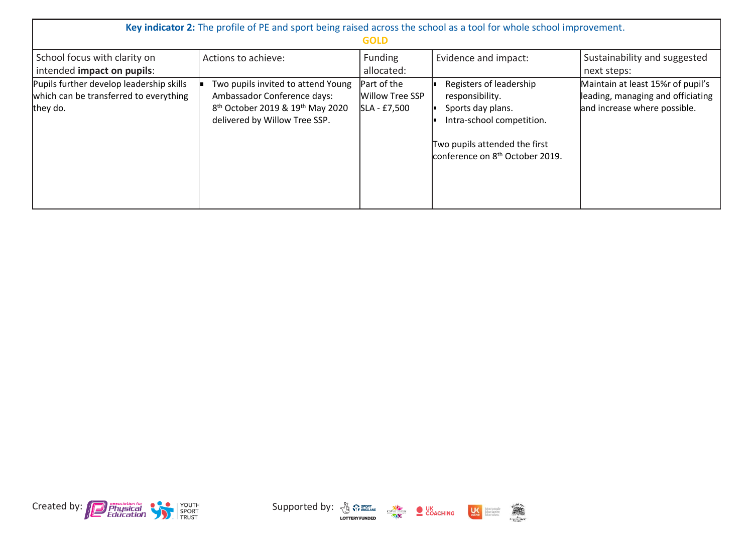| Key indicator 2: The profile of PE and sport being raised across the school as a tool for whole school improvement.<br><b>GOLD</b> |                                                                                                                                                                |                                                       |                                                                                                                                                                              |                                                                                                         |  |
|------------------------------------------------------------------------------------------------------------------------------------|----------------------------------------------------------------------------------------------------------------------------------------------------------------|-------------------------------------------------------|------------------------------------------------------------------------------------------------------------------------------------------------------------------------------|---------------------------------------------------------------------------------------------------------|--|
| School focus with clarity on<br>intended impact on pupils:                                                                         | Actions to achieve:                                                                                                                                            | Funding<br>allocated:                                 | Evidence and impact:                                                                                                                                                         | Sustainability and suggested<br>next steps:                                                             |  |
| Pupils further develop leadership skills<br>which can be transferred to everything<br>they do.                                     | Two pupils invited to attend Young<br>Ambassador Conference days:<br>8 <sup>th</sup> October 2019 & 19 <sup>th</sup> May 2020<br>delivered by Willow Tree SSP. | Part of the<br><b>Willow Tree SSP</b><br>SLA - £7,500 | Registers of leadership<br>responsibility.<br>Sports day plans.<br>Intra-school competition.<br>Two pupils attended the first<br>conference on 8 <sup>th</sup> October 2019. | Maintain at least 15% r of pupil's<br>leading, managing and officiating<br>and increase where possible. |  |



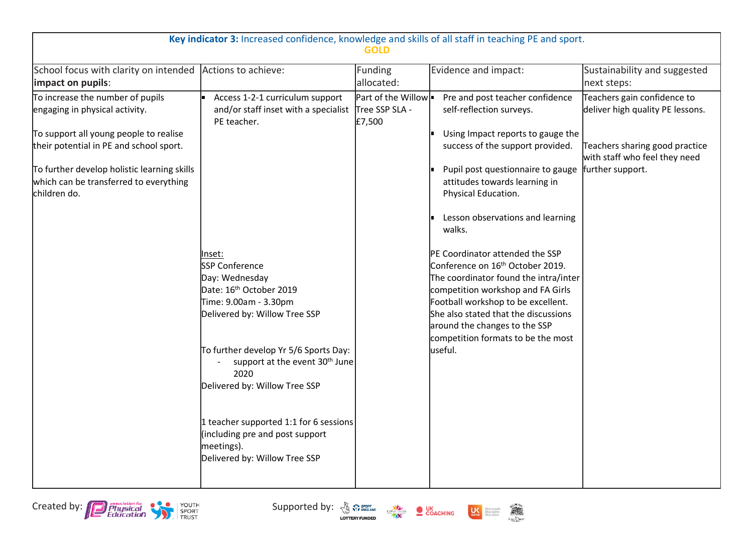| Key indicator 3: Increased confidence, knowledge and skills of all staff in teaching PE and sport.<br><b>GOLD</b> |                                                                                                                          |                                                |                                                                                                             |                                                                 |  |
|-------------------------------------------------------------------------------------------------------------------|--------------------------------------------------------------------------------------------------------------------------|------------------------------------------------|-------------------------------------------------------------------------------------------------------------|-----------------------------------------------------------------|--|
| School focus with clarity on intended<br>impact on pupils:                                                        | Actions to achieve:                                                                                                      | Funding<br>allocated:                          | Evidence and impact:                                                                                        | Sustainability and suggested<br>next steps:                     |  |
| To increase the number of pupils<br>engaging in physical activity.<br>To support all young people to realise      | Access 1-2-1 curriculum support<br>and/or staff inset with a specialist<br>PE teacher.                                   | Part of the Willow<br>Tree SSP SLA -<br>£7,500 | Pre and post teacher confidence<br>self-reflection surveys.<br>Using Impact reports to gauge the            | Teachers gain confidence to<br>deliver high quality PE lessons. |  |
| their potential in PE and school sport.                                                                           |                                                                                                                          |                                                | success of the support provided.                                                                            | Teachers sharing good practice<br>with staff who feel they need |  |
| To further develop holistic learning skills<br>which can be transferred to everything<br>lchildren do.            |                                                                                                                          |                                                | Pupil post questionnaire to gauge<br>attitudes towards learning in<br>Physical Education.                   | further support.                                                |  |
|                                                                                                                   |                                                                                                                          |                                                | Lesson observations and learning<br>walks.                                                                  |                                                                 |  |
|                                                                                                                   | Inset:<br><b>SSP Conference</b>                                                                                          |                                                | PE Coordinator attended the SSP<br>Conference on 16 <sup>th</sup> October 2019.                             |                                                                 |  |
|                                                                                                                   | Day: Wednesday                                                                                                           |                                                | The coordinator found the intra/inter                                                                       |                                                                 |  |
|                                                                                                                   | Date: 16 <sup>th</sup> October 2019<br>Time: 9.00am - 3.30pm                                                             |                                                | competition workshop and FA Girls<br>Football workshop to be excellent.                                     |                                                                 |  |
|                                                                                                                   | Delivered by: Willow Tree SSP                                                                                            |                                                | She also stated that the discussions<br>around the changes to the SSP<br>competition formats to be the most |                                                                 |  |
|                                                                                                                   | To further develop Yr 5/6 Sports Day:<br>support at the event 30 <sup>th</sup> June<br>2020                              |                                                | useful.                                                                                                     |                                                                 |  |
|                                                                                                                   | Delivered by: Willow Tree SSP                                                                                            |                                                |                                                                                                             |                                                                 |  |
|                                                                                                                   | 1 teacher supported 1:1 for 6 sessions<br>(including pre and post support<br>meetings).<br>Delivered by: Willow Tree SSP |                                                |                                                                                                             |                                                                 |  |
|                                                                                                                   |                                                                                                                          |                                                |                                                                                                             |                                                                 |  |

Created by: **Constanting the Constanting of Supported by:**  $\frac{1}{2}$  Supported by:  $\frac{1}{2}$  Sexting  $\frac{1}{2}$  Sexting  $\frac{1}{2}$  Sexting  $\frac{1}{2}$ 





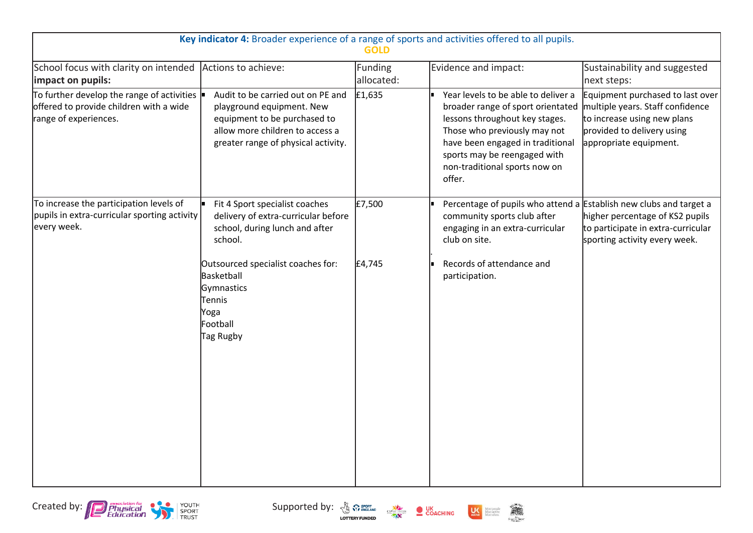| Key indicator 4: Broader experience of a range of sports and activities offered to all pupils.<br><b>GOLD</b>                      |                                                                                                                                                                                                                                        |                       |                                                                                                                                                                                                                                                           |                                                                                                                                                             |  |
|------------------------------------------------------------------------------------------------------------------------------------|----------------------------------------------------------------------------------------------------------------------------------------------------------------------------------------------------------------------------------------|-----------------------|-----------------------------------------------------------------------------------------------------------------------------------------------------------------------------------------------------------------------------------------------------------|-------------------------------------------------------------------------------------------------------------------------------------------------------------|--|
| School focus with clarity on intended Actions to achieve:<br>impact on pupils:                                                     |                                                                                                                                                                                                                                        | Funding<br>allocated: | Evidence and impact:                                                                                                                                                                                                                                      | Sustainability and suggested<br>next steps:                                                                                                                 |  |
| To further develop the range of activities $\vert \cdot \vert$<br>offered to provide children with a wide<br>range of experiences. | Audit to be carried out on PE and<br>playground equipment. New<br>equipment to be purchased to<br>allow more children to access a<br>greater range of physical activity.                                                               | E1,635                | Year levels to be able to deliver a<br>broader range of sport orientated<br>lessons throughout key stages.<br>Those who previously may not<br>have been engaged in traditional<br>sports may be reengaged with<br>non-traditional sports now on<br>offer. | Equipment purchased to last over<br>multiple years. Staff confidence<br>to increase using new plans<br>provided to delivery using<br>appropriate equipment. |  |
| To increase the participation levels of<br>pupils in extra-curricular sporting activity<br>every week.                             | Fit 4 Sport specialist coaches<br>delivery of extra-curricular before<br>school, during lunch and after<br>school.<br>Outsourced specialist coaches for:<br>Basketball<br>Gymnastics<br><b>Tennis</b><br>Yoga<br>Football<br>Tag Rugby | £7,500<br>£4,745      | Percentage of pupils who attend a Establish new clubs and target a<br>community sports club after<br>engaging in an extra-curricular<br>club on site.<br>Records of attendance and<br>participation.                                                      | higher percentage of KS2 pupils<br>to participate in extra-curricular<br>sporting activity every week.                                                      |  |

Created by: **Consumer Consumer Consumer Supported by:**  $\frac{1}{2}$  Supported by:  $\frac{1}{2}$  Sex Coaching **US**